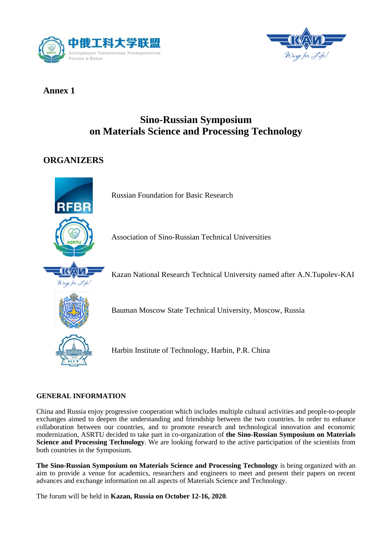



## **Annex 1**

# **Sino-Russian Symposium on Materials Science and Processing Technology**

## **ORGANIZERS**



Russian Foundation for Basic Research

Association of Sino-Russian Technical Universities

Kazan National Research Technical University named after A.N.Tupolev-KAI



Bauman Moscow State Technical University, Moscow, Russia



Harbin Institute of Technology, Harbin, P.R. China

## **GENERAL INFORMATION**

China and Russia enjoy progressive cooperation which includes multiple cultural activities and people-to-people exchanges aimed to deepen the understanding and friendship between the two countries. In order to enhance collaboration between our countries, and to promote research and technological innovation and economic modernization, ASRTU decided to take part in co-organization of **the Sino-Russian Symposium on Materials Science and Processing Technology**. We are looking forward to the active participation of the scientists from both countries in the Symposium.

**The Sino-Russian Symposium on Materials Science and Processing Technology** is being organized with an aim to provide a venue for academics, researchers and engineers to meet and present their papers on recent advances and exchange information on all aspects of Materials Science and Technology.

The forum will be held in **Kazan, Russia on October 12-16, 2020**.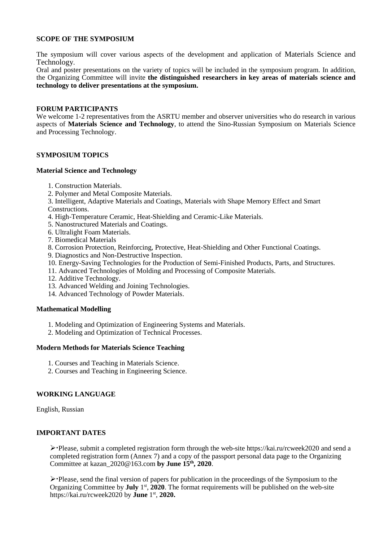#### **SCOPE OF THE SYMPOSIUM**

The symposium will cover various aspects of the development and application of Materials Science and Technology.

Oral and poster presentations on the variety of topics will be included in the symposium program. In addition, the Organizing Committee will invite **the distinguished researchers in key areas of materials science and technology to deliver presentations at the symposium.**

#### **FORUM PARTICIPANTS**

We welcome 1-2 representatives from the ASRTU member and observer universities who do research in various aspects of **Materials Science and Technology**, to attend the Sino-Russian Symposium on Materials Science and Processing Technology.

#### **SYMPOSIUM TOPICS**

#### **Material Science and Technology**

- 1. Construction Materials.
- 2. Polymer and Metal Composite Materials.
- 3. Intelligent, Adaptive Materials and Coatings, Materials with Shape Memory Effect and Smart Constructions.
- 4. High-Temperature Ceramic, Heat-Shielding and Ceramic-Like Materials.
- 5. Nanostructured Materials and Coatings.
- 6. Ultralight Foam Materials.
- 7. Biomedical Materials
- 8. Corrosion Protection, Reinforcing, Protective, Heat-Shielding and Other Functional Coatings.
- 9. Diagnostics and Non-Destructive Inspection.
- 10. Energy-Saving Technologies for the Production of Semi-Finished Products, Parts, and Structures.
- 11. Advanced Technologies of Molding and Processing of Composite Materials.
- 12. Additive Technology.
- 13. Advanced Welding and Joining Technologies.
- 14. Advanced Technology of Powder Materials.

#### **Mathematical Modelling**

- 1. Modeling and Optimization of Engineering Systems and Materials.
- 2. Modeling and Optimization of Technical Processes.

#### **Modern Methods for Materials Science Teaching**

- 1. Courses and Teaching in Materials Science.
- 2. Courses and Teaching in Engineering Science.

#### **WORKING LANGUAGE**

English, Russian

#### **IMPORTANT DATES**

 $\triangleright$  Please, submit a completed registration form through the web-site https://kai.ru/rcweek2020 and send a completed registration form (Annex 7) and a copy of the passport personal data page to the Organizing Committee at kazan\_2020@163.com **by June 15 th, 2020**.

 $\triangleright$  Please, send the final version of papers for publication in the proceedings of the Symposium to the Organizing Committee by **July** 1<sup>st</sup>, 2020. The format requirements will be published on the web-site https://kai.ru/rcweek2020 by **June** 1 st , **2020.**